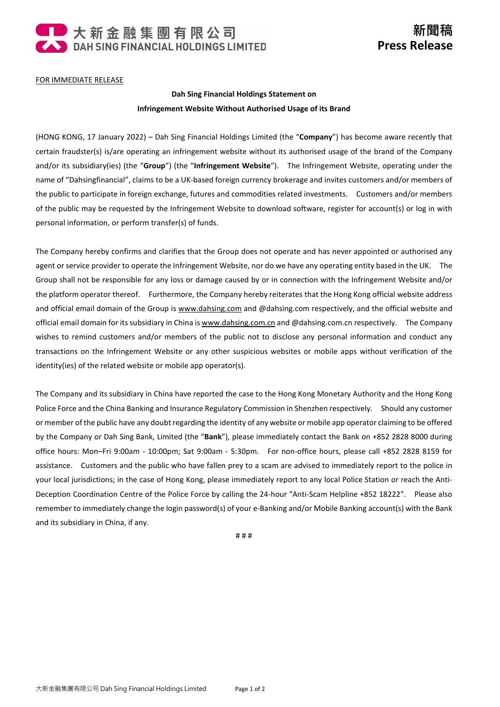

## FOR IMMEDIATE RELEASE

## **Dah Sing Financial Holdings Statement on Infringement Website Without Authorised Usage of its Brand**

(HONG KONG, 17 January 2022) – Dah Sing Financial Holdings Limited (the "**Company**") has become aware recently that certain fraudster(s) is/are operating an infringement website without its authorised usage of the brand of the Company and/or its subsidiary(ies) (the "**Group**") (the "**Infringement Website**"). The Infringement Website, operating under the name of "Dahsingfinancial", claims to be a UK-based foreign currency brokerage and invites customers and/or members of the public to participate in foreign exchange, futures and commodities related investments. Customers and/or members of the public may be requested by the Infringement Website to download software, register for account(s) or log in with personal information, or perform transfer(s) of funds.

The Company hereby confirms and clarifies that the Group does not operate and has never appointed or authorised any agent or service provider to operate the Infringement Website, nor do we have any operating entity based in the UK. The Group shall not be responsible for any loss or damage caused by or in connection with the Infringement Website and/or the platform operator thereof. Furthermore, the Company hereby reiterates that the Hong Kong official website address and official email domain of the Group is [www.dahsing.com](http://www.dahsing.com/) and @dahsing.com respectively, and the official website and official email domain for its subsidiary in China i[s www.dahsing.com.cn](http://www.dahsing.com.cn/) and @dahsing.com.cn respectively. The Company wishes to remind customers and/or members of the public not to disclose any personal information and conduct any transactions on the Infringement Website or any other suspicious websites or mobile apps without verification of the identity(ies) of the related website or mobile app operator(s).

The Company and its subsidiary in China have reported the case to the Hong Kong Monetary Authority and the Hong Kong Police Force and the China Banking and Insurance Regulatory Commission in Shenzhen respectively. Should any customer or member of the public have any doubt regarding the identity of any website or mobile app operator claiming to be offered by the Company or Dah Sing Bank, Limited (the "**Bank**"), please immediately contact the Bank on +852 2828 8000 during office hours: Mon–Fri 9:00am - 10:00pm; Sat 9:00am - 5:30pm. For non-office hours, please call +852 2828 8159 for assistance. Customers and the public who have fallen prey to a scam are advised to immediately report to the police in your local jurisdictions; in the case of Hong Kong, please immediately report to any local Police Station or reach the Anti-Deception Coordination Centre of the Police Force by calling the 24-hour "Anti-Scam Helpline +852 18222". Please also remember to immediately change the login password(s) of your e-Banking and/or Mobile Banking account(s) with the Bank and its subsidiary in China, if any.

# # #